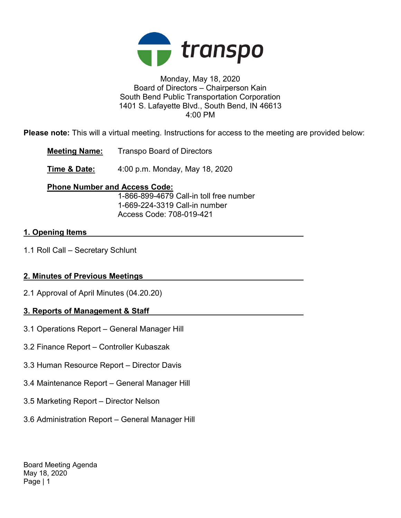

### Monday, May 18, 2020 Board of Directors – Chairperson Kain South Bend Public Transportation Corporation 1401 S. Lafayette Blvd., South Bend, IN 46613 4:00 PM

Please note: This will a virtual meeting. Instructions for access to the meeting are provided below:

Meeting Name: Transpo Board of Directors

**Time & Date:** 4:00 p.m. Monday, May 18, 2020

## Phone Number and Access Code:

 1-866-899-4679 Call-in toll free number 1-669-224-3319 Call-in number Access Code: 708-019-421

# 1. Opening Items

1.1 Roll Call – Secretary Schlunt

# 2. Minutes of Previous Meetings

2.1 Approval of April Minutes (04.20.20)

# 3. Reports of Management & Staff

- 3.1 Operations Report General Manager Hill
- 3.2 Finance Report Controller Kubaszak
- 3.3 Human Resource Report Director Davis
- 3.4 Maintenance Report General Manager Hill
- 3.5 Marketing Report Director Nelson
- 3.6 Administration Report General Manager Hill

Board Meeting Agenda May 18, 2020 Page | 1